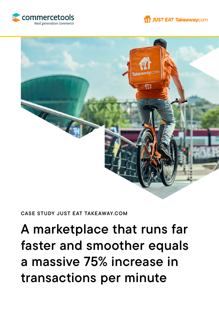





#### CASE STUDY JUST EAT TAKEAWAY.COM

# A marketplace that runs far faster and smoother equals a massive 75% increase in transactions per minute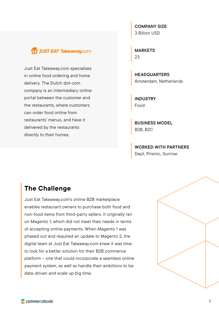## JUST EAT Takeaway.com

Just Eat Takeaway.com specializes in online food ordering and home delivery. The Dutch dot-com company is an intermediary online portal between the customer and the restaurants, where customers can order food online from restaurants' menus, and have it delivered by the restaurants directly to their homes.

COMPANY SIZE 3 Billion USD

MARKETS 23

**HEADQUARTERS** Amsterdam, Netherlands

INDUSTRY Food

BUSINESS MODEL B2B, B2C

WORKED WITH PARTNERS Dept, Prismic, Sunrise

## The Challenge

Just Eat Takeaway.com's online B2B marketplace enables restaurant owners to purchase both food and non-food items from third-party sellers. It originally ran on Magento 1, which did not meet their needs in terms of accepting online payments. When Magento 1 was phased out and required an update to Magento 2, the digital team at Just Eat Takeaway.com knew it was time to look for a better solution for their B2B commerce platform – one that could incorporate a seamless online payment system, as well as handle their ambitions to be data-driven and scale up big time.

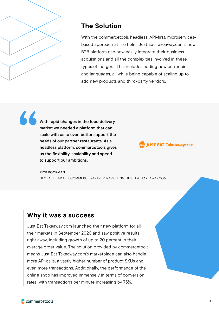

# The Solution

With the commercetools headless, API-first, microservicesbased approach at the helm, Just Eat Takeaway.com's new B2B platform can now easily integrate their business acquisitions and all the complexities involved in these types of mergers. This includes adding new currencies and languages, all while being capable of scaling up to add new products and third-party vendors.

With rapid changes in the food delivery market we needed a platform that can scale with us to even better support the needs of our partner restaurants. As a headless platform, commercetools gives us the flexibility, scalability and speed to support our ambitions. "

**Tr JUST EAT Takeaway.com** 

RICK KOOPMAN GLOBAL HEAD OF ECOMMERCE PARTNER MARKETING, JUST EAT TAKEAWAY.COM

### Why it was a success

Just Eat Takeaway.com launched their new platform for all their markets in September 2020 and saw positive results right away, including growth of up to 20 percent in their average order value. The solution provided by commercetools means Just Eat Takeaway.com's marketplace can also handle more API calls, a vastly higher number of product SKUs and even more transactions. Additionally, the performance of the online shop has improved immensely in terms of conversion rates, with transactions per minute increasing by 75%.